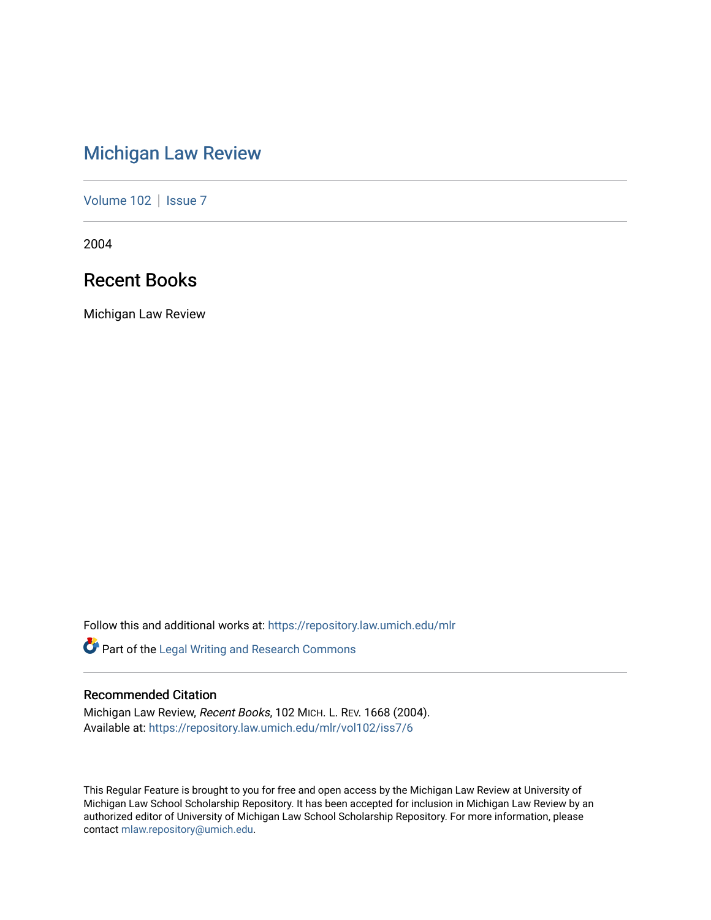# [Michigan Law Review](https://repository.law.umich.edu/mlr)

[Volume 102](https://repository.law.umich.edu/mlr/vol102) | [Issue 7](https://repository.law.umich.edu/mlr/vol102/iss7)

2004

# Recent Books

Michigan Law Review

Follow this and additional works at: [https://repository.law.umich.edu/mlr](https://repository.law.umich.edu/mlr?utm_source=repository.law.umich.edu%2Fmlr%2Fvol102%2Fiss7%2F6&utm_medium=PDF&utm_campaign=PDFCoverPages) 

Part of the [Legal Writing and Research Commons](http://network.bepress.com/hgg/discipline/614?utm_source=repository.law.umich.edu%2Fmlr%2Fvol102%2Fiss7%2F6&utm_medium=PDF&utm_campaign=PDFCoverPages) 

# Recommended Citation

Michigan Law Review, Recent Books, 102 MICH. L. REV. 1668 (2004). Available at: [https://repository.law.umich.edu/mlr/vol102/iss7/6](https://repository.law.umich.edu/mlr/vol102/iss7/6?utm_source=repository.law.umich.edu%2Fmlr%2Fvol102%2Fiss7%2F6&utm_medium=PDF&utm_campaign=PDFCoverPages) 

This Regular Feature is brought to you for free and open access by the Michigan Law Review at University of Michigan Law School Scholarship Repository. It has been accepted for inclusion in Michigan Law Review by an authorized editor of University of Michigan Law School Scholarship Repository. For more information, please contact [mlaw.repository@umich.edu](mailto:mlaw.repository@umich.edu).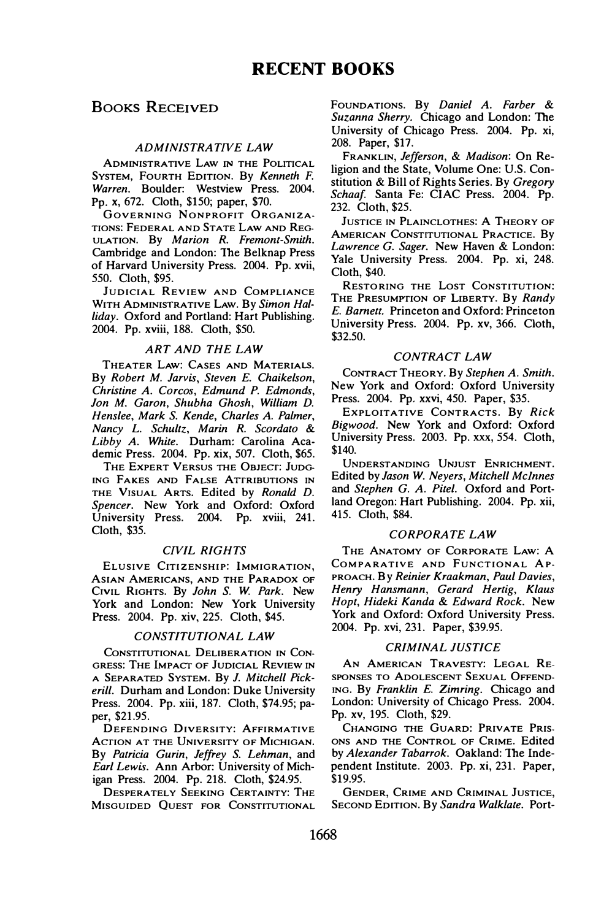# BOOKS RECEIVED

# ADMINISTRATWE LAW

ADMINISTRATIVE LAW IN THE POLITICAL SYSTEM, FOURTH EDITION. By Kenneth F. Warren. Boulder: Westview Press. 2004. Pp. x, 672. Cloth, \$150; paper, \$70.

GOVERNING NONPROFIT ORGANIZA-TIONS: FEDERAL AND STATE LAW AND REG-ULATION. By Marion R. Fremont-Smith. Cambridge and London: The Belknap Press of Harvard University Press. 2004. Pp. xvii, 550. Cloth, \$95.

JUDICIAL REVIEW AND COMPLIANCE WITH ADMINISTRATIVE LAW. By Simon Halliday. Oxford and Portland: Hart Publishing. 2004. Pp. xviii, 188. Cloth, \$50.

### ART AND THE LAW

THEATER LAW: CASES AND MATERIALS. By Robert M. Jarvis, Steven E. Chaikelson, Christine A. Corcos, Edmund P. Edmonds, Jon M. Garon, Shubha Ghosh, William D. Henslee, Mark S. Kende, Charles A. Palmer, Nancy L. Schultz, Marin R. Scordato & Libby A. White. Durham: Carolina Academic Press. 2004. Pp. xix, 507. Cloth, \$65.

THE EXPERT VERSUS THE OBJECT: JUDG-ING FAKES AND FALSE ATTRIBUTIONS IN THE VISUAL ARTS. Edited by Ronald D. Spencer. New York and Oxford: Oxford University Press. 2004. Pp. xviii, 241. Cloth, \$35.

### CWIL RIGHTS

ELUSIVE CITIZENSHIP: IMMIGRATION, ASIAN AMERICANS, AND THE PARADOX OF CIVIL RIGHTS. By John S. W. Park. New York and London: New York University Press. 2004. Pp. xiv, 225. Cloth, \$45.

#### CONSTITUTIONAL LAW

CONSTITUTIONAL DELIBERATION IN CON-GRESS: THE IMPACT OF JUDICIAL REVIEW IN A SEPARATED SYSTEM. By J. Mitchell Pickerill. Durham and London: Duke University Press. 2004. Pp. xiii, 187. Cloth, \$74.95; paper, \$21.95.

DEFENDING DIVERSITY: AFFIRMATIVE ACTION AT THE UNIVERSITY OF MICHIGAN. By Patricia Gurin, Jeffrey S. Lehman, and Earl Lewis. Ann Arbor: University of Michigan Press. 2004. Pp. 218. Cloth, \$24.95.

DESPERATELY SEEKING CERTAINTY: THE MISGUIDED QUEST FOR CONSTITUTIONAL FOUNDATIONS. By Daniel A. Farber & Suzanna Sherry. Chicago and London: The University of Chicago Press. 2004. Pp. xi, 208. Paper, \$17.

FRANKLIN, Jefferson, & Madison: On Religion and the State, Volume One: U.S. Constitution & Bill of Rights Series. By Gregory Schaaf. Santa Fe: CIAC Press. 2004. Pp. 232. Cloth, \$25.

JUSTICE IN PLAINCLOTHES: A THEORY OF AMERICAN CONSTITUTIONAL PRACTICE. By Lawrence G. Sager. New Haven & London: Yale University Press. 2004. Pp. xi, 248. Cloth, \$40.

RESTORING THE LOST CONSTITUTION: THE PRESUMPTION OF LIBERTY. By Randy E. Barnett. Princeton and Oxford: Princeton University Press. 2004. Pp. xv, 366. Cloth, \$32.50.

# CONTRACT LAW

CONTRACT THEORY. By Stephen A. Smith. New York and Oxford: Oxford University Press. 2004. Pp. xxvi, 450. Paper, \$35.

EXPLOITATIVE CONTRACTS. By Rick Bigwood. New York and Oxford: Oxford University Press. 2003. Pp. xxx, 554. Cloth, \$140.

UNDERSTANDING UNJUST ENRICHMENT. Edited by Jason W. Neyers, Mitchell Mclnnes and Stephen G. A. Pitel. Oxford and Portland Oregon: Hart Publishing. 2004. Pp. xii, 415. Cloth, \$84.

# CORPORATE LAW

THE ANATOMY OF CORPORATE LAW: A COMPARATIVE AND FUNCTIONAL AP-PROACH. By Reinier Kraakman, Paul Davies, Henry Hansmann, Gerard Hertig, Klaus Hopt, Hideki Kanda & Edward Rock. New York and Oxford: Oxford University Press. 2004. Pp. xvi, 231. Paper, \$39.95.

# CRIMINAL JUSTICE

AN AMERICAN TRAVESTY: LEGAL RE-SPONSES TO ADOLESCENT SEXUAL OFFEND-ING. By Franklin E. Zimring. Chicago and London: University of Chicago Press. 2004. Pp. xv, 195. Cloth, \$29.

CHANGING THE GUARD: PRIVATE PRIS-ONS AND THE CONTROL OF CRIME. Edited by Alexander Tabarrok. Oakland: The Independent Institute. 2003. Pp. xi, 231. Paper, \$19.95.

GENDER, CRIME AND CRIMINAL JUSTICE, SECOND EDITION. By Sandra Walklate. Port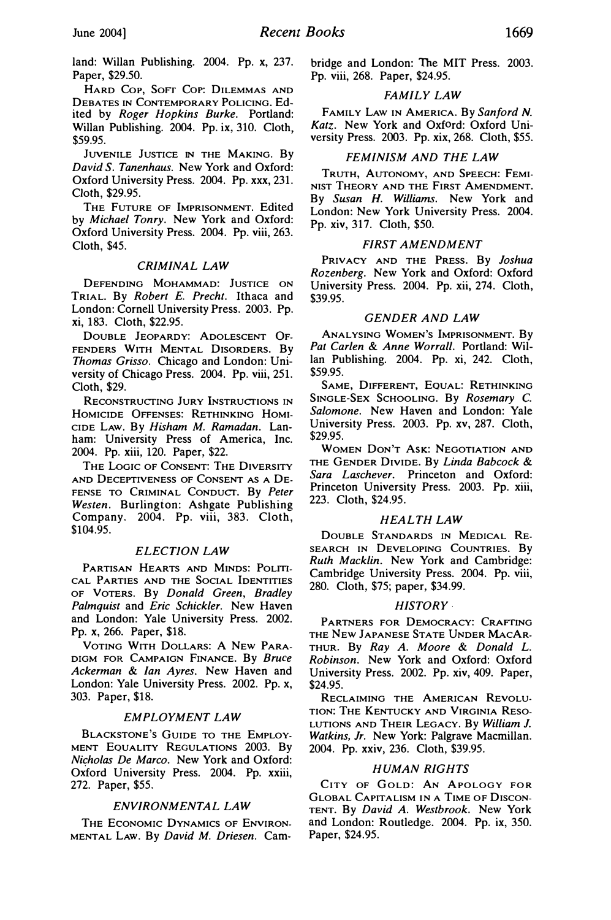land: Willan Publishing. 2004. Pp. x, 237. Paper, \$29.50.

HARD Cor, Sorr Cor: DILEMMAS AND DEBATES IN CONTEMPORARY POLICING. Edited by Roger Hopkins Burke. Portland: Willan Publishing. 2004. Pp. ix, 310. Cloth, \$59.95.

JUVENILE JUSTICE IN THE MAKING. By David S. Tanenhaus. New York and Oxford: Oxford University Press. 2004. Pp. xxx, 231. Cloth, \$29.95.

THE FUTURE OF IMPRISONMENT. Edited by Michael Tonry. New York and Oxford: Oxford University Press. 2004. Pp. viii, 263. Cloth, \$45.

# CRIMINAL LAW

DEFENDING MOHAMMAD: JUSTICE ON TRIAL. By Robert E. Precht. Ithaca and London: Cornell University Press. 2003. Pp. xi, 183. Cloth, \$22.95.

DOUBLE JEOPARDY: ADOLESCENT OF-FENDERS WITH MENTAL DISORDERS. By Thomas Grisso. Chicago and London: University of Chicago Press. 2004. Pp. viii, 251. Cloth, \$29.

RECONSTRUCTING JURY INSTRUCTIONS IN HOMICIDE OFFENSES: RETHINKING HOMI-CIDE LAW. By Hisham M. Ramadan. Lanham: University Press of America, Inc. 2004. Pp. xiii, 120. Paper, \$22.

THE LOGIC OF CONSENT: THE DIVERSITY AND DECEPTIVENESS OF CONSENT AS A DE-FENSE TO CRIMINAL CONDUCT. By Peter Westen. Burlington: Ashgate Publishing Company. 2004. Pp. viii, 383. Cloth, \$104.95.

#### ELECTION LAW

PARTISAN HEARTS AND MINDS: POLITI-CAL PARTIES AND THE SOCIAL IDENTITIES OF VOTERS. By Donald Green, Bradley Palmquist and Eric Schickler. New Haven and London: Yale University Press. 2002. Pp. x, 266. Paper, \$18.

VOTING WITH DOLLARS: A NEW PARA-DIGM FOR CAMPAIGN FINANCE. By Bruce Ackerman & Ian Ayres. New Haven and London: Yale University Press. 2002. Pp. x, 303. Paper, \$18.

#### EMPLOYMENT LAW

BLACKSTONE'S GUIDE TO THE EMPLOY-MENT EQUALITY REGULATIONS 2003. By Nicholas De Marco. New York and Oxford: Oxford University Press. 2004. Pp. xxiii, 272. Paper, \$55.

#### ENVIRONMENTAL LAW

THE ECONOMIC DYNAMICS OF ENVIRON-MENTAL LAw. By David M. Driesen. Cambridge and London: The MIT Press. 2003. Pp. viii, 268. Paper, \$24.95.

# FAMILY LAW

FAMILY LAW IN AMERICA. By Sanford N. Katz. New York and Oxford: Oxford University Press. 2003. Pp. xix, 268. Cloth, \$55.

# FEMINISM AND THE LAW

TRUTH, AUTONOMY, AND SPEECH: FEMI-NIST THEORY AND THE FIRST AMENDMENT. By Susan H. Williams. New York and London: New York University Press. 2004. Pp. xiv, 317. Cloth, \$50.

# FIRST AMENDMENT

PRIVACY AND THE PRESS. By Joshua Rozenberg. New York and Oxford: Oxford University Press. 2004. Pp. xii, 274. Cloth, \$39.95.

#### GENDER AND LAW

ANALYSING WOMEN'S IMPRISONMENT. By Pat Carlen & Anne Worrall. Portland: Willan Publishing. 2004. Pp. xi, 242. Cloth, \$59.95.

SAME, DIFFERENT, EQUAL: RETHINKING SINGLE-SEX SCHOOLING. By Rosemary C. Salomone. New Haven and London: Yale University Press. 2003. Pp. xv, 287. Cloth, \$29.95.

WOMEN DoN'T AsK: NEGOTIATION AND THE GENDER DIVIDE. By Linda Babcock & Sara Laschever. Princeton and Oxford: Princeton University Press. 2003. Pp. xiii, 223. Cloth, \$24.95.

# HEALTH LAW

DOUBLE STANDARDS IN MEDICAL RE-SEARCH IN DEVELOPING COUNTRIES. By Ruth Macklin. New York and Cambridge: Cambridge University Press. 2004. Pp. viii, 280. Cloth, \$75; paper, \$34.99.

#### HISTORY·

PARTNERS FOR DEMOCRACY: CRAFTING THE NEW JAPANESE STATE UNDER MACAR-THUR. By Ray A. Moore & Donald L. Robinson. New York and Oxford: Oxford University Press. 2002. Pp. xiv, 409. Paper, \$24.95.

RECLAIMING THE AMERICAN REVOLU-TION: THE KENTUCKY AND VIRGINIA RESO-LUTIONS AND THEIR LEGACY. By William J. Watkins, Jr. New York: Palgrave Macmillan. 2004. Pp. xxiv, 236. Cloth, \$39.95.

#### HUMAN RIGHTS

CITY OF GOLD: AN APOLOGY FOR GLOBAL CAPITALISM IN A TIME OF DISCON-TENT. By David A. Westbrook. New York and London: Routledge. 2004. Pp. ix, 350. Paper, \$24.95.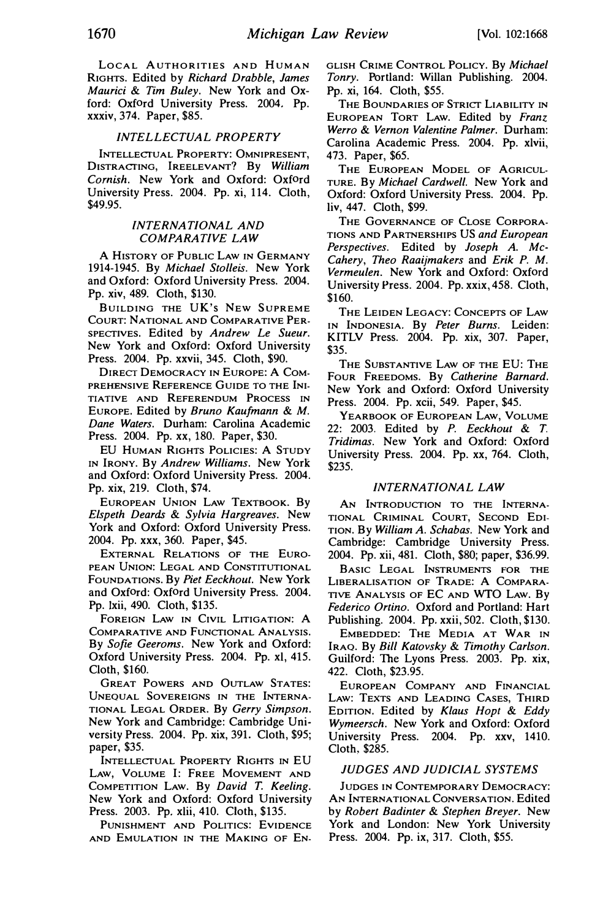LOCAL AUTHORITIES AND HUMAN RIGHTS. Edited by Richard Drabble, James Maurici & Tim Buley. New York and Oxford: Oxford University Press. 2004. Pp. xxxiv, 374. Paper, \$85.

#### INTELLECTUAL PROPERTY

INTELLECTUAL PROPERTY: OMNIPRESENT, D1sTRACTING, lREELEVANT? By William Comish. New York and Oxford: Oxford University Press. 2004. Pp. xi, 114. Cloth, \$49.95.

# INTERNATIONAL AND COMPARATIVE LAW

A HISTORY OF PUBLIC LAW IN GERMANY 1914-1945. By Michael Stolleis. New York and Oxford: Oxford University Press. 2004. Pp. xiv, 489. Cloth, \$130.

BUILDING THE UK's NEW SUPREME COURT: NATIONAL AND COMPARATIVE PER-SPECTIVES. Edited by Andrew Le Sueur. New York and Oxford: Oxford University Press. 2004. Pp. xxvii, 345. Cloth, \$90.

DIRECT DEMOCRACY IN EUROPE: A COM-PREHENSIVE REFERENCE GUIDE TO THE INI-TIATIVE AND REFERENDUM PROCESS IN EUROPE. Edited by Bruno Kaufmann & M. Dane Waters. Durham: Carolina Academic Press. 2004. Pp. xx, 180. Paper, \$30.

EU HUMAN RIGHTS POLICIES: A STUDY IN IRONY. By Andrew Williams. New York and Oxford: Oxford University Press. 2004. Pp. xix, 219. Cloth, \$74.

EUROPEAN UNION LAW TEXTBOOK. By Elspeth Deards & Sylvia Hargreaves. New York and Oxford: Oxford University Press. 2004. Pp. xxx, 360. Paper, \$45.

EXTERNAL RELATIONS OF THE EURO-PEAN UNION: LEGAL AND CONSTITUTIONAL FOUNDATIONS. By Piet Eeckhout. New York and Oxford: Oxford University Press. 2004. . Pp. !xii, 490. Cloth, \$135.

FOREIGN LAW IN CIVIL LITIGATION: A COMPARATIVE AND FUNCTIONAL ANALYSIS. By Sofie Geeroms. New York and Oxford: Oxford University Press. 2004. Pp. xi, 415. Cloth, \$160.

GREAT POWERS AND OUTLAW STATES: UNEQUAL SOVEREIGNS IN THE INTERNA-TIONAL LEGAL ORDER. By Gerry Simpson. New York and Cambridge: Cambridge University Press. 2004. Pp. xix, 391. Cloth, \$95; paper, \$35.

INTELLECTUAL PROPERTY RIGHTS IN EU LAW, VOLUME I: FREE MOVEMENT AND COMPETITION LAW. By David T. Keeling. New York and Oxford: Oxford University Press. 2003. Pp. xiii, 410. Cloth, \$135.

PUNISHMENT AND POLITICS: EVIDENCE AND EMULATION IN THE MAKING OF EN-

GLISH CRIME CONTROL POLICY. By Michael Tonry. Portland: Willan Publishing. 2004. Pp. xi, 164. Cloth, \$55.

THE BOUNDARIES OF STRICT LIABILITY IN EUROPEAN TORT LAW. Edited by Franz Werro & Vernon Valentine Palmer. Durham: Carolina Academic Press. 2004. Pp. xlvii, 473. Paper, \$65.

THE EUROPEAN MODEL OF AGRICUL-TURE. By Michael Cardwell. New York and Oxford: Oxford University Press. 2004. Pp. liv, 447. Cloth, \$99.

THE GOVERNANCE OF CLOSE CORPORA-TIONS AND PARTNERSHIPS US and European Perspectives. Edited by Joseph A. Mc-Cahery, Theo Raaijmakers and Erik P. M. Vermeulen. New York and Oxford: Oxford University Press. 2004. Pp. xxix, 458. Cloth, \$160.

THE LEIDEN LEGACY: CONCEPTS OF LAW IN INDONESIA. By Peter Burns. Leiden: KITLV Press. 2004. Pp. xix, 307. Paper, \$35.

THE SUBSTANTIVE LAW OF THE EU: THE FOUR FREEDOMS. By Catherine Barnard. New York and Oxford: Oxford University Press. 2004. Pp. xcii, 549. Paper, \$45.

YEARBOOK OF EUROPEAN LAW, VOLUME 22: 2003. Edited by P. Eeckhout & T. Tridimas. New York and Oxford: Oxford University Press. 2004. Pp. xx, 764. Cloth, \$235.

# INTERNATIONAL LAW

AN INTRODUCTION TO THE INTERNA-TIONAL CRIMINAL COURT, SECOND EDI-TION. By William A. Schabas. New York and Cambridge: Cambridge University Press. 2004. Pp. xii, 481. Cloth, \$80; paper, \$36.99.

BASIC LEGAL INSTRUMENTS FOR THE LIBERALISATION OF TRADE: A COMPARA-TIVE ANALYSIS OF EC AND WTO LAW. By Federico Ortino. Oxford and Portland: Hart Publishing. 2004. Pp. xxii, 502. Cloth, \$130.

EMBEDDED: THE MEDIA AT WAR IN IRAQ. By Bill Katovsky & Timothy Carlson. Guilford: The Lyons Press. 2003. Pp. xix, 422. Cloth, \$23.95.

EUROPEAN COMPANY AND FINANCIAL LAW: TEXTS AND LEADING CASES, THIRD EDITION. Edited by Klaus Hopt & Eddy Wymeersch. New York and Oxford: Oxford University Press. 2004. Pp. xxv, 1410. Cloth, \$285.

#### JUDGES AND JUDICIAL SYSTEMS

JUDGES IN CONTEMPORARY DEMOCRACY: AN INTERNATIONAL CONVERSATION. Edited by Robert Badinter & Stephen Breyer. New York and London: New York University Press. 2004. Pp. ix, 317. Cloth, \$55.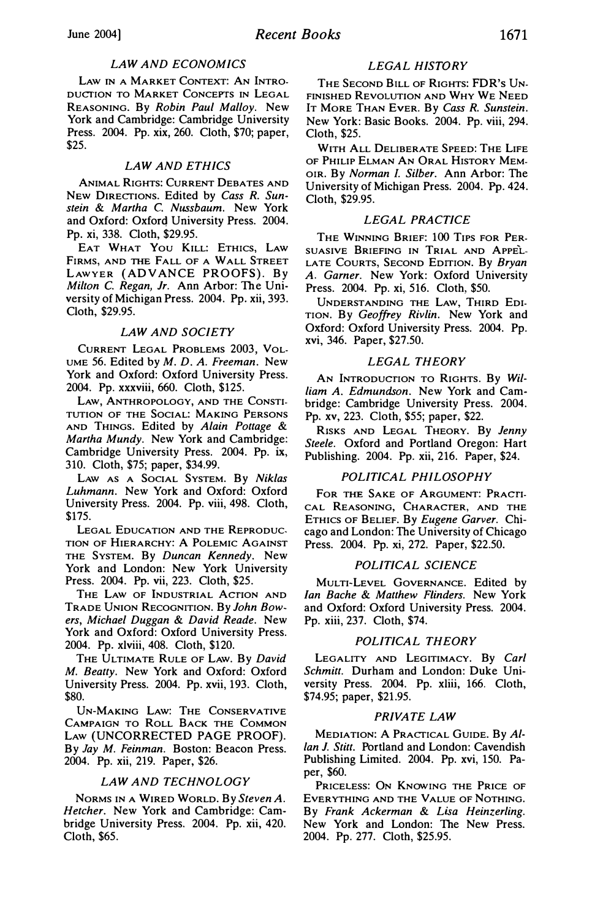# LAW AND ECONOMICS

LAW IN A MARKET CONTEXT: AN INTRO-DUCTION TO MARKET CONCEPTS IN LEGAL REASONING. By Robin Paul Malloy. New York and Cambridge: Cambridge University Press. 2004. Pp. xix, 260. Cloth, \$70; paper, \$25.

# LAW AND ETHICS

ANIMAL RIGHTS: CURRENT DEBATES AND NEW DIRECTIONS. Edited by Cass R. Sunstein & Martha C. Nussbaum. New York and Oxford: Oxford University Press. 2004. Pp. xi, 338. Cloth, \$29.95.

EAT WHAT You KILL: ETHICS, LAw FIRMS, AND THE FALL OF A WALL STREET LAWYER (ADVANCE PROOFS). By Milton C. Regan, Jr. Ann Arbor: The University of Michigan Press. 2004. Pp. xii, 393. Cloth, \$29.95.

#### LAW AND SOCIETY

CURRENT LEGAL PROBLEMS 2003, VOL-UME 56. Edited by M. D. A. Freeman. New York and Oxford: Oxford University Press. 2004. Pp. xxxviii, 660. Cloth, \$125.

LAW, ANTHROPOLOGY, AND THE CONSTI-TUTION OF THE SOCIAL: MAKING PERSONS AND THINGS. Edited by Alain Pottage & Martha Mundy. New York and Cambridge: Cambridge University Press. 2004. Pp. ix, 310. Cloth, \$75; paper, \$34.99.

LAW AS A SocIAL SYSTEM. By Niklas Luhmann. New York and Oxford: Oxford University Press. 2004. Pp. viii, 498. Cloth, \$175.

LEGAL EDUCATION AND THE REPRODUC-TION OF HIERARCHY: A POLEMIC AGAINST THE SYSTEM. By Duncan Kennedy. New York and London: New York University Press. 2004. Pp. vii, 223. Cloth, \$25.

THE LAW OF INDUSTRIAL ACTION AND TRADE UNION RECOGNITION. By John Bowers, Michael Duggan & David Reade. New York and Oxford: Oxford University Press. 2004. Pp. xlviii, 408. Cloth, \$120.

THE ULTIMATE RULE OF LAW. By David M. Beatty. New York and Oxford: Oxford University Press. 2004. Pp. xvii, 193. Cloth, \$80.

UN-MAKING LAw: THE CONSERVATIVE CAMPAIGN TO ROLL BACK THE COMMON LAW (UNCORRECTED PAGE PROOF). By lay M. Feinman. Boston: Beacon Press. 2004. Pp. xii, 219. Paper, \$26.

#### LAW AND TECHNOLOGY

NoRMs IN A WIRED WORLD. By Steven A. Hetcher. New York and Cambridge: Cambridge University Press. 2004. Pp. xii, 420. Cloth, \$65.

# LEGAL HISTORY

THE SECOND B1LL OF RIGHTS: FDR's UN-FINISHED REVOLUTION AND WHY WE NEED IT MoRE THAN EvER. By Cass R. Sunstein. New York: Basic Books. 2004. Pp. viii, 294. Cloth, \$25.

WITH ALL DELIBERATE SPEED: THE LIFE OF PHILIP ELMAN AN ORAL HISTORY MEM-OIR. By Norman I. Silber. Ann Arbor: The University of Michigan Press. 2004. Pp. 424. Cloth, \$29.95.

#### LEGAL PRACTICE

THE WINNING BRIEF: 100 TIPS FOR PER-SUASIVE BRIEFING IN TRIAL AND APPEL-LATE COURTS, SECOND EDITION. By Bryan A. Garner. New York: Oxford University Press. 2004. Pp. xi, 516. Cloth, \$50.

UNDERSTANDING THE LAW, THIRD EDI-TION. By Geoffrey Rivlin. New York and Oxford: Oxford University Press. 2004. Pp. xvi, 346. Paper, \$27.50.

#### LEGAL THEORY

AN INTRODUCTION TO RIGHTS. By William A. Edmundson. New York and Cambridge: Cambridge University Press. 2004. Pp. xv, 223. Cloth, \$55; paper, \$22.

RISKS AND LEGAL THEORY. By Jenny Steele. Oxford and Portland Oregon: Hart Publishing. 2004. Pp. xii, 216. Paper, \$24.

### POLITICAL PHILOSOPHY

FoR THE SAKE OF ARGUMENT: PRACTI-CAL REASONING, CHARACTER, AND THE ETHICS OF BELIEF. By Eugene Garver. Chicago and London: The University of Chicago Press. 2004. Pp. xi, 272. Paper, \$22.50.

#### POLITICAL SCIENCE

MuLTI-LEVEL GOVERNANCE. Edited by Ian Bache & Matthew Flinders. New York and Oxford: Oxford University Press. 2004. Pp. xiii, 237. Cloth, \$74.

### POLITICAL THEORY

LEGALITY AND LEGITIMACY. By Carl Schmitt. Durham and London: Duke University Press. 2004. Pp. xliii, 166. Cloth, \$74.95; paper, \$21.95.

#### PRIVATE LAW

MEDIATION: A PRACTICAL GUIDE. By Allan J. Stitt. Portland and London: Cavendish Publishing Limited. 2004. Pp. xvi, 150. Paper, \$60.

PRICELESS: ON KNOWING THE PRICE OF EVERYTHING AND THE VALUE OF NOTHING. By Frank Ackerman & Lisa Heinzerling. New York and London: The New Press. 2004. Pp. 277. Cloth, \$25.95.